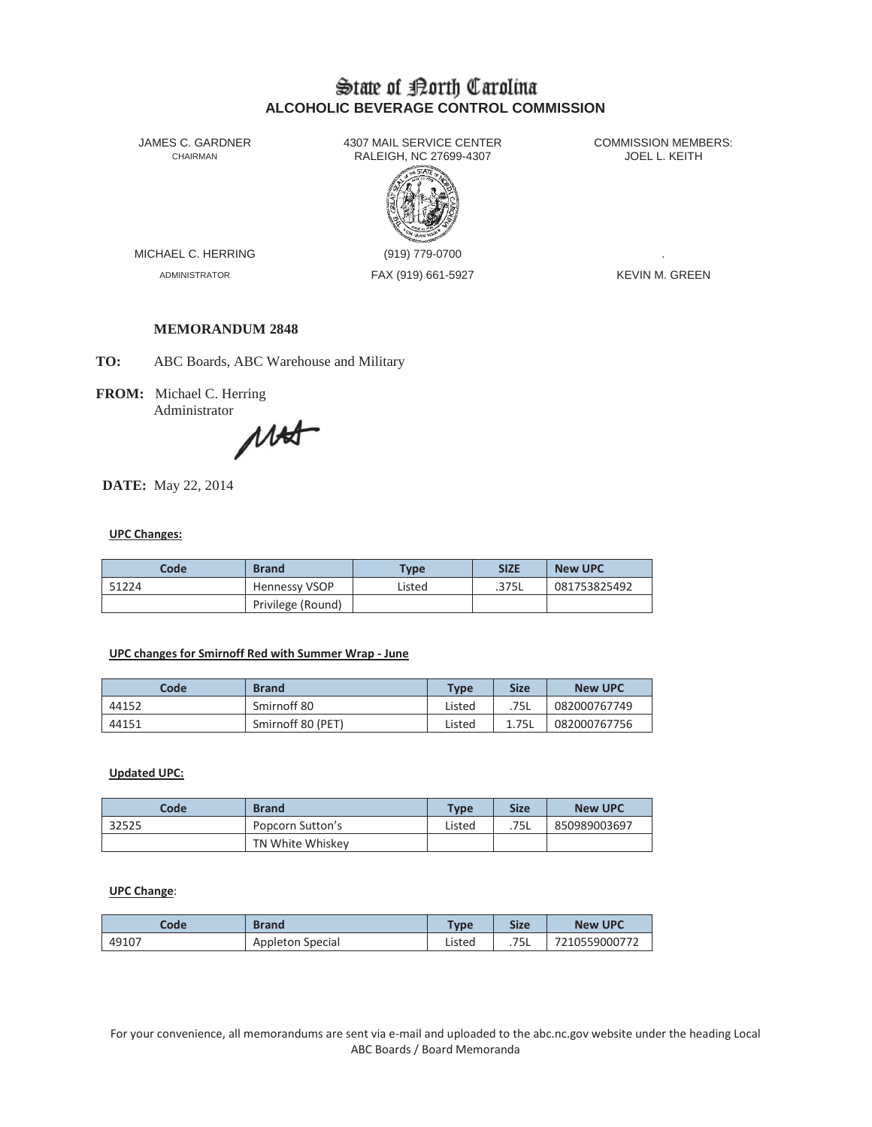# State of Borth Carolina **ALCOHOLIC BEVERAGE CONTROL COMMISSION**

JAMES C. GARDNER 4307 MAIL SERVICE CENTER<br>CHAIRMAN CHAIRMAN RALEIGH, NC 27699-4307 RALEIGH, NC 27699-4307



MICHAEL C. HERRING (919) 779-0700

ADMINISTRATOR FAX (919) 661-5927 KEVIN M. GREEN

# **MEMORANDUM 2848**

**TO:** ABC Boards, ABC Warehouse and Military

**FROM:** Michael C. Herring

Administrator MA

**DATE:** May 22, 2014

## **UPC Changes:**

| Code  | <b>Brand</b>         | Type   | <b>SIZE</b> | <b>New UPC</b> |
|-------|----------------------|--------|-------------|----------------|
| 51224 | <b>Hennessy VSOP</b> | Listed | .375L       | 081753825492   |
|       | Privilege (Round)    |        |             |                |

### **UPC changes for Smirnoff Red with Summer Wrap - June**

| Code  | <b>Brand</b>      | <b>Type</b> | <b>Size</b> | <b>New UPC</b> |
|-------|-------------------|-------------|-------------|----------------|
| 44152 | Smirnoff 80       | Listed      | .75L        | 082000767749   |
| 44151 | Smirnoff 80 (PET) | Listed      | 1.75L       | 082000767756   |

## **Updated UPC:**

| Code  | <b>Brand</b>     | <b>Type</b> | <b>Size</b> | <b>New UPC</b> |
|-------|------------------|-------------|-------------|----------------|
| 32525 | Popcorn Sutton's | Listed      | .75L        | 850989003697   |
|       | TN White Whiskey |             |             |                |

# **UPC Change**:

| Code  | <b>Brand</b>     | <b>Type</b> | <b>Size</b> | <b>New UPC</b> |
|-------|------------------|-------------|-------------|----------------|
| 49107 | Appleton Special | Listed      | .75L        | 7210559000772  |

For your convenience, all memorandums are sent via e-mail and uploaded to the abc.nc.gov website under the heading Local ABC Boards / Board Memoranda